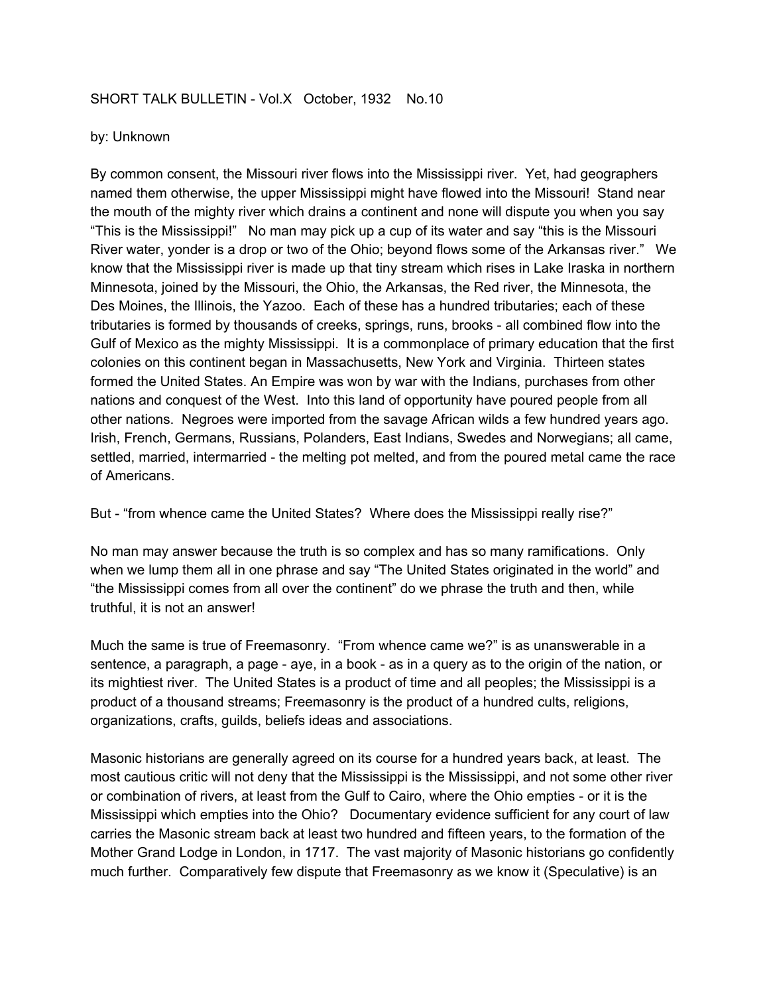## SHORT TALK BULLETIN - Vol.X October, 1932 No.10

## by: Unknown

By common consent, the Missouri river flows into the Mississippi river. Yet, had geographers named them otherwise, the upper Mississippi might have flowed into the Missouri! Stand near the mouth of the mighty river which drains a continent and none will dispute you when you say "This is the Mississippi!" No man may pick up a cup of its water and say "this is the Missouri River water, yonder is a drop or two of the Ohio; beyond flows some of the Arkansas river." We know that the Mississippi river is made up that tiny stream which rises in Lake Iraska in northern Minnesota, joined by the Missouri, the Ohio, the Arkansas, the Red river, the Minnesota, the Des Moines, the Illinois, the Yazoo. Each of these has a hundred tributaries; each of these tributaries is formed by thousands of creeks, springs, runs, brooks - all combined flow into the Gulf of Mexico as the mighty Mississippi. It is a commonplace of primary education that the first colonies on this continent began in Massachusetts, New York and Virginia. Thirteen states formed the United States. An Empire was won by war with the Indians, purchases from other nations and conquest of the West. Into this land of opportunity have poured people from all other nations. Negroes were imported from the savage African wilds a few hundred years ago. Irish, French, Germans, Russians, Polanders, East Indians, Swedes and Norwegians; all came, settled, married, intermarried - the melting pot melted, and from the poured metal came the race of Americans.

But - "from whence came the United States? Where does the Mississippi really rise?"

No man may answer because the truth is so complex and has so many ramifications. Only when we lump them all in one phrase and say "The United States originated in the world" and "the Mississippi comes from all over the continent" do we phrase the truth and then, while truthful, it is not an answer!

Much the same is true of Freemasonry. "From whence came we?" is as unanswerable in a sentence, a paragraph, a page - aye, in a book - as in a query as to the origin of the nation, or its mightiest river. The United States is a product of time and all peoples; the Mississippi is a product of a thousand streams; Freemasonry is the product of a hundred cults, religions, organizations, crafts, guilds, beliefs ideas and associations.

Masonic historians are generally agreed on its course for a hundred years back, at least. The most cautious critic will not deny that the Mississippi is the Mississippi, and not some other river or combination of rivers, at least from the Gulf to Cairo, where the Ohio empties - or it is the Mississippi which empties into the Ohio? Documentary evidence sufficient for any court of law carries the Masonic stream back at least two hundred and fifteen years, to the formation of the Mother Grand Lodge in London, in 1717. The vast majority of Masonic historians go confidently much further. Comparatively few dispute that Freemasonry as we know it (Speculative) is an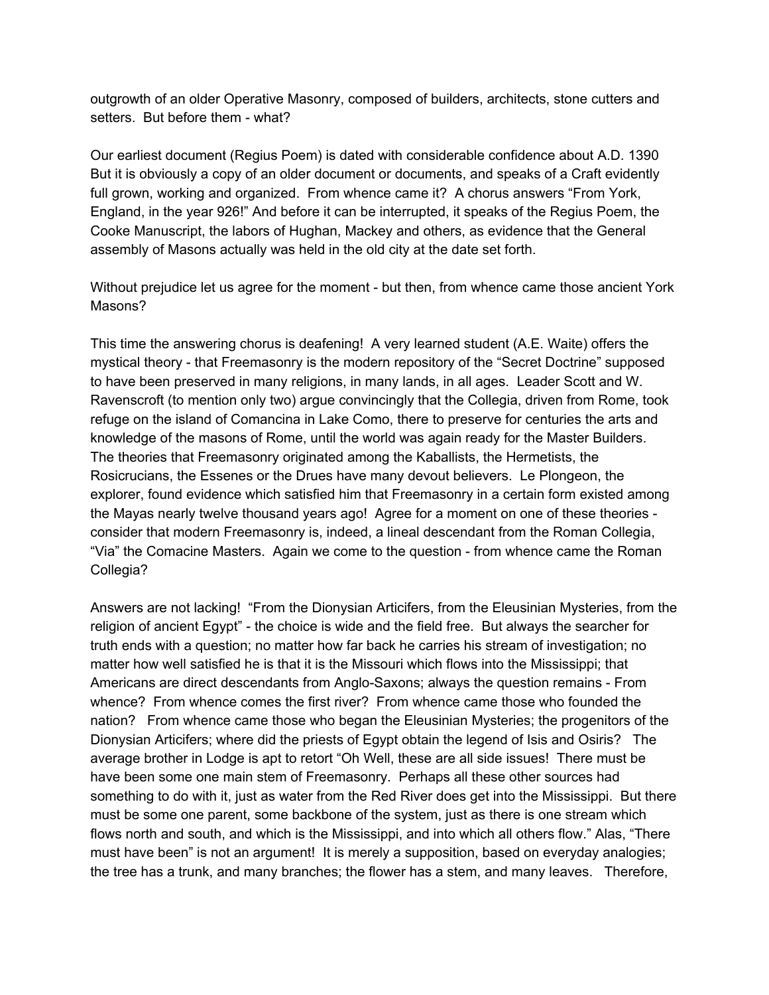outgrowth of an older Operative Masonry, composed of builders, architects, stone cutters and setters. But before them - what?

Our earliest document (Regius Poem) is dated with considerable confidence about A.D. 1390 But it is obviously a copy of an older document or documents, and speaks of a Craft evidently full grown, working and organized. From whence came it? A chorus answers "From York, England, in the year 926!" And before it can be interrupted, it speaks of the Regius Poem, the Cooke Manuscript, the labors of Hughan, Mackey and others, as evidence that the General assembly of Masons actually was held in the old city at the date set forth.

Without prejudice let us agree for the moment - but then, from whence came those ancient York Masons?

This time the answering chorus is deafening! A very learned student (A.E. Waite) offers the mystical theory - that Freemasonry is the modern repository of the "Secret Doctrine" supposed to have been preserved in many religions, in many lands, in all ages. Leader Scott and W. Ravenscroft (to mention only two) argue convincingly that the Collegia, driven from Rome, took refuge on the island of Comancina in Lake Como, there to preserve for centuries the arts and knowledge of the masons of Rome, until the world was again ready for the Master Builders. The theories that Freemasonry originated among the Kaballists, the Hermetists, the Rosicrucians, the Essenes or the Drues have many devout believers. Le Plongeon, the explorer, found evidence which satisfied him that Freemasonry in a certain form existed among the Mayas nearly twelve thousand years ago! Agree for a moment on one of these theories consider that modern Freemasonry is, indeed, a lineal descendant from the Roman Collegia, "Via" the Comacine Masters. Again we come to the question - from whence came the Roman Collegia?

Answers are not lacking! "From the Dionysian Articifers, from the Eleusinian Mysteries, from the religion of ancient Egypt" - the choice is wide and the field free. But always the searcher for truth ends with a question; no matter how far back he carries his stream of investigation; no matter how well satisfied he is that it is the Missouri which flows into the Mississippi; that Americans are direct descendants from Anglo-Saxons; always the question remains - From whence? From whence comes the first river? From whence came those who founded the nation? From whence came those who began the Eleusinian Mysteries; the progenitors of the Dionysian Articifers; where did the priests of Egypt obtain the legend of Isis and Osiris? The average brother in Lodge is apt to retort "Oh Well, these are all side issues! There must be have been some one main stem of Freemasonry. Perhaps all these other sources had something to do with it, just as water from the Red River does get into the Mississippi. But there must be some one parent, some backbone of the system, just as there is one stream which flows north and south, and which is the Mississippi, and into which all others flow." Alas, "There must have been" is not an argument! It is merely a supposition, based on everyday analogies; the tree has a trunk, and many branches; the flower has a stem, and many leaves. Therefore,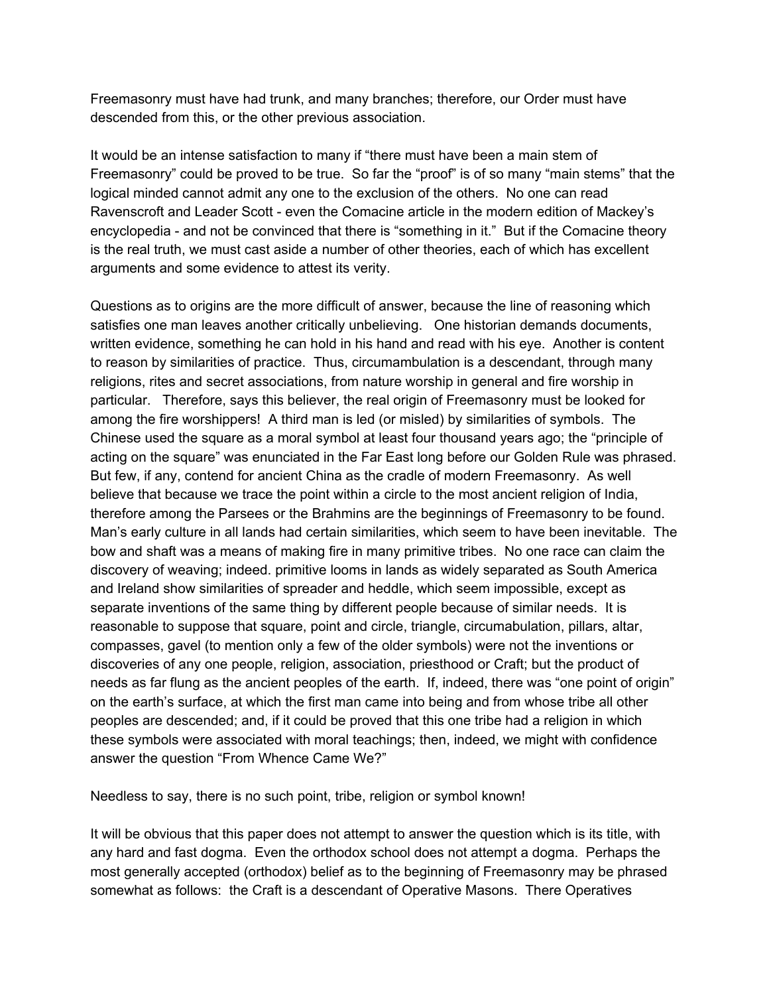Freemasonry must have had trunk, and many branches; therefore, our Order must have descended from this, or the other previous association.

It would be an intense satisfaction to many if "there must have been a main stem of Freemasonry" could be proved to be true. So far the "proof" is of so many "main stems" that the logical minded cannot admit any one to the exclusion of the others. No one can read Ravenscroft and Leader Scott - even the Comacine article in the modern edition of Mackey's encyclopedia - and not be convinced that there is "something in it." But if the Comacine theory is the real truth, we must cast aside a number of other theories, each of which has excellent arguments and some evidence to attest its verity.

Questions as to origins are the more difficult of answer, because the line of reasoning which satisfies one man leaves another critically unbelieving. One historian demands documents, written evidence, something he can hold in his hand and read with his eye. Another is content to reason by similarities of practice. Thus, circumambulation is a descendant, through many religions, rites and secret associations, from nature worship in general and fire worship in particular. Therefore, says this believer, the real origin of Freemasonry must be looked for among the fire worshippers! A third man is led (or misled) by similarities of symbols. The Chinese used the square as a moral symbol at least four thousand years ago; the "principle of acting on the square" was enunciated in the Far East long before our Golden Rule was phrased. But few, if any, contend for ancient China as the cradle of modern Freemasonry. As well believe that because we trace the point within a circle to the most ancient religion of India, therefore among the Parsees or the Brahmins are the beginnings of Freemasonry to be found. Man's early culture in all lands had certain similarities, which seem to have been inevitable. The bow and shaft was a means of making fire in many primitive tribes. No one race can claim the discovery of weaving; indeed. primitive looms in lands as widely separated as South America and Ireland show similarities of spreader and heddle, which seem impossible, except as separate inventions of the same thing by different people because of similar needs. It is reasonable to suppose that square, point and circle, triangle, circumabulation, pillars, altar, compasses, gavel (to mention only a few of the older symbols) were not the inventions or discoveries of any one people, religion, association, priesthood or Craft; but the product of needs as far flung as the ancient peoples of the earth. If, indeed, there was "one point of origin" on the earth's surface, at which the first man came into being and from whose tribe all other peoples are descended; and, if it could be proved that this one tribe had a religion in which these symbols were associated with moral teachings; then, indeed, we might with confidence answer the question "From Whence Came We?"

Needless to say, there is no such point, tribe, religion or symbol known!

It will be obvious that this paper does not attempt to answer the question which is its title, with any hard and fast dogma. Even the orthodox school does not attempt a dogma. Perhaps the most generally accepted (orthodox) belief as to the beginning of Freemasonry may be phrased somewhat as follows: the Craft is a descendant of Operative Masons. There Operatives